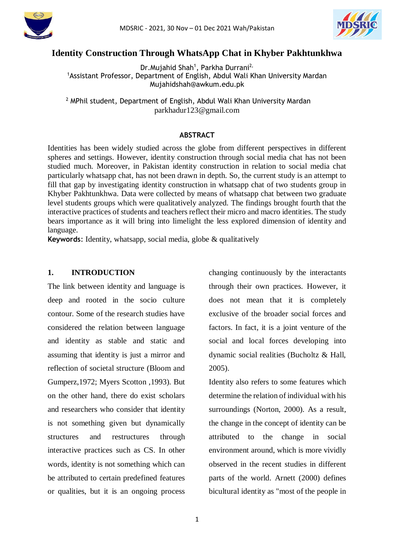



# **Identity Construction Through WhatsApp Chat in Khyber Pakhtunkhwa**

Dr. Mujahid Shah<sup>1</sup>, Parkha Durrani<sup>2,</sup> <sup>1</sup>Assistant Professor, Department of English, Abdul Wali Khan University Mardan Mujahidshah@awkum.edu.pk

<sup>2</sup> MPhil student, Department of English, Abdul Wali Khan University Mardan parkhadur123@gmail.com

# **ABSTRACT**

Identities has been widely studied across the globe from different perspectives in different spheres and settings. However, identity construction through social media chat has not been studied much. Moreover, in Pakistan identity construction in relation to social media chat particularly whatsapp chat, has not been drawn in depth. So, the current study is an attempt to fill that gap by investigating identity construction in whatsapp chat of two students group in Khyber Pakhtunkhwa. Data were collected by means of whatsapp chat between two graduate level students groups which were qualitatively analyzed. The findings brought fourth that the interactive practices of students and teachers reflect their micro and macro identities. The study bears importance as it will bring into limelight the less explored dimension of identity and language.

**Keywords**: Identity, whatsapp, social media, globe & qualitatively

#### **1. INTRODUCTION**

The link between identity and language is deep and rooted in the socio culture contour. Some of the research studies have considered the relation between language and identity as stable and static and assuming that identity is just a mirror and reflection of societal structure (Bloom and Gumperz,1972; Myers Scotton ,1993). But on the other hand, there do exist scholars and researchers who consider that identity is not something given but dynamically structures and restructures through interactive practices such as CS. In other words, identity is not something which can be attributed to certain predefined features or qualities, but it is an ongoing process

changing continuously by the interactants through their own practices. However, it does not mean that it is completely exclusive of the broader social forces and factors. In fact, it is a joint venture of the social and local forces developing into dynamic social realities (Bucholtz & Hall, 2005).

Identity also refers to some features which determine the relation of individual with his surroundings (Norton, 2000). As a result, the change in the concept of identity can be attributed to the change in social environment around, which is more vividly observed in the recent studies in different parts of the world. Arnett (2000) defines bicultural identity as "most of the people in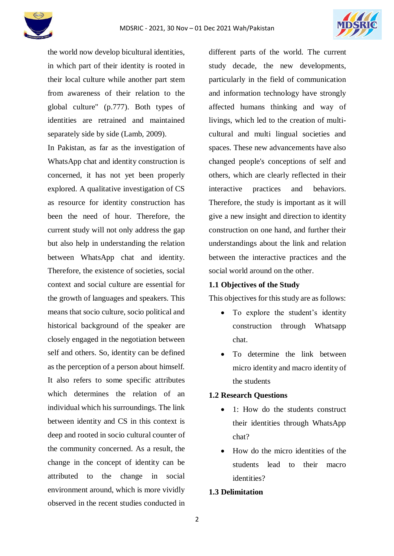



the world now develop bicultural identities, in which part of their identity is rooted in their local culture while another part stem from awareness of their relation to the global culture" (p.777). Both types of identities are retrained and maintained separately side by side (Lamb, 2009).

In Pakistan, as far as the investigation of WhatsApp chat and identity construction is concerned, it has not yet been properly explored. A qualitative investigation of CS as resource for identity construction has been the need of hour. Therefore, the current study will not only address the gap but also help in understanding the relation between WhatsApp chat and identity. Therefore, the existence of societies, social context and social culture are essential for the growth of languages and speakers. This means that socio culture, socio political and historical background of the speaker are closely engaged in the negotiation between self and others. So, identity can be defined as the perception of a person about himself. It also refers to some specific attributes which determines the relation of an individual which his surroundings. The link between identity and CS in this context is deep and rooted in socio cultural counter of the community concerned. As a result, the change in the concept of identity can be attributed to the change in social environment around, which is more vividly observed in the recent studies conducted in

different parts of the world. The current study decade, the new developments, particularly in the field of communication and information technology have strongly affected humans thinking and way of livings, which led to the creation of multicultural and multi lingual societies and spaces. These new advancements have also changed people's conceptions of self and others, which are clearly reflected in their interactive practices and behaviors. Therefore, the study is important as it will give a new insight and direction to identity construction on one hand, and further their understandings about the link and relation between the interactive practices and the social world around on the other.

# **1.1 Objectives of the Study**

This objectives for this study are as follows:

- To explore the student's identity construction through Whatsapp chat.
- To determine the link between micro identity and macro identity of the students

#### **1.2 Research Questions**

- 1: How do the students construct their identities through WhatsApp chat?
- How do the micro identities of the students lead to their macro identities?

# **1.3 Delimitation**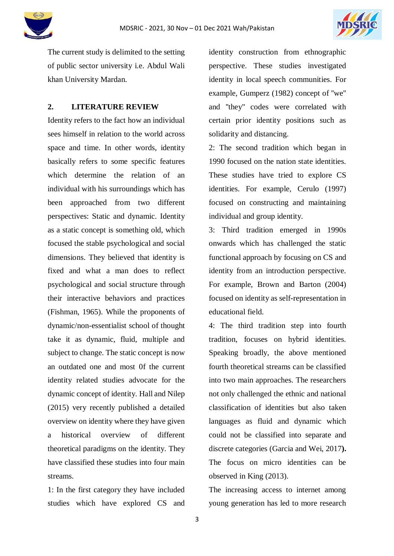



The current study is delimited to the setting of public sector university i.e. Abdul Wali khan University Mardan.

# **2. LITERATURE REVIEW**

Identity refers to the fact how an individual sees himself in relation to the world across space and time. In other words, identity basically refers to some specific features which determine the relation of an individual with his surroundings which has been approached from two different perspectives: Static and dynamic. Identity as a static concept is something old, which focused the stable psychological and social dimensions. They believed that identity is fixed and what a man does to reflect psychological and social structure through their interactive behaviors and practices (Fishman, 1965). While the proponents of dynamic/non-essentialist school of thought take it as dynamic, fluid, multiple and subject to change. The static concept is now an outdated one and most 0f the current identity related studies advocate for the dynamic concept of identity. Hall and Nilep (2015) very recently published a detailed overview on identity where they have given a historical overview of different theoretical paradigms on the identity. They have classified these studies into four main streams.

1: In the first category they have included studies which have explored CS and identity construction from ethnographic perspective. These studies investigated identity in local speech communities. For example, Gumperz (1982) concept of ''we'' and ''they'' codes were correlated with certain prior identity positions such as solidarity and distancing.

2: The second tradition which began in 1990 focused on the nation state identities. These studies have tried to explore CS identities. For example, Cerulo (1997) focused on constructing and maintaining individual and group identity.

3: Third tradition emerged in 1990s onwards which has challenged the static functional approach by focusing on CS and identity from an introduction perspective. For example, Brown and Barton (2004) focused on identity as self-representation in educational field.

4: The third tradition step into fourth tradition, focuses on hybrid identities. Speaking broadly, the above mentioned fourth theoretical streams can be classified into two main approaches. The researchers not only challenged the ethnic and national classification of identities but also taken languages as fluid and dynamic which could not be classified into separate and discrete categories (Garcia and Wei, 2017**).** The focus on micro identities can be observed in King (2013).

The increasing access to internet among young generation has led to more research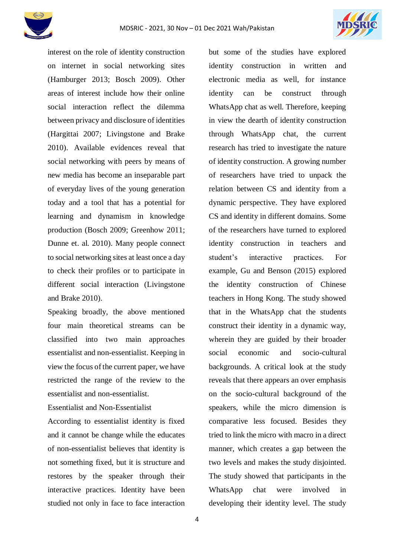



interest on the role of identity construction on internet in social networking sites (Hamburger 2013; Bosch 2009). Other areas of interest include how their online social interaction reflect the dilemma between privacy and disclosure of identities (Hargittai 2007; Livingstone and Brake 2010). Available evidences reveal that social networking with peers by means of new media has become an inseparable part of everyday lives of the young generation today and a tool that has a potential for learning and dynamism in knowledge production (Bosch 2009; Greenhow 2011; Dunne et. al. 2010). Many people connect to social networking sites at least once a day to check their profiles or to participate in different social interaction (Livingstone and Brake 2010).

Speaking broadly, the above mentioned four main theoretical streams can be classified into two main approaches essentialist and non-essentialist. Keeping in view the focus of the current paper, we have restricted the range of the review to the essentialist and non-essentialist.

Essentialist and Non-Essentialist

According to essentialist identity is fixed and it cannot be change while the educates of non-essentialist believes that identity is not something fixed, but it is structure and restores by the speaker through their interactive practices. Identity have been studied not only in face to face interaction

but some of the studies have explored identity construction in written and electronic media as well, for instance identity can be construct through WhatsApp chat as well. Therefore, keeping in view the dearth of identity construction through WhatsApp chat, the current research has tried to investigate the nature of identity construction. A growing number of researchers have tried to unpack the relation between CS and identity from a dynamic perspective. They have explored CS and identity in different domains. Some of the researchers have turned to explored identity construction in teachers and student's interactive practices. For example, Gu and Benson (2015) explored the identity construction of Chinese teachers in Hong Kong. The study showed that in the WhatsApp chat the students construct their identity in a dynamic way, wherein they are guided by their broader social economic and socio-cultural backgrounds. A critical look at the study reveals that there appears an over emphasis on the socio-cultural background of the speakers, while the micro dimension is comparative less focused. Besides they tried to link the micro with macro in a direct manner, which creates a gap between the two levels and makes the study disjointed. The study showed that participants in the WhatsApp chat were involved in developing their identity level. The study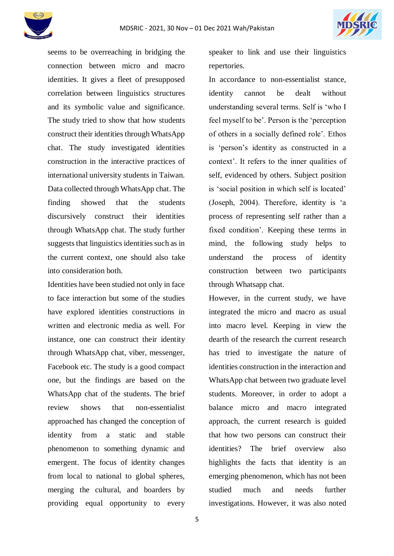



seems to be overreaching in bridging the connection between micro and macro identities. It gives a fleet of presupposed correlation between linguistics structures and its symbolic value and significance. The study tried to show that how students construct their identities through WhatsApp chat. The study investigated identities construction in the interactive practices of international university students in Taiwan. Data collected through WhatsApp chat. The finding showed that the students discursively construct their identities through WhatsApp chat. The study further suggests that linguistics identities such as in the current context, one should also take into consideration both.

Identities have been studied not only in face to face interaction but some of the studies have explored identities constructions in written and electronic media as well. For instance, one can construct their identity through WhatsApp chat, viber, messenger, Facebook etc. The study is a good compact one, but the findings are based on the WhatsApp chat of the students. The brief review shows that non-essentialist approached has changed the conception of identity from a static and stable phenomenon to something dynamic and emergent. The focus of identity changes from local to national to global spheres, merging the cultural, and boarders by providing equal opportunity to every

speaker to link and use their linguistics repertories.

In accordance to non-essentialist stance, identity cannot be dealt without understanding several terms. Self is 'who I feel myself to be'. Person is the 'perception of others in a socially defined role'. Ethos is 'person's identity as constructed in a context'. It refers to the inner qualities of self, evidenced by others. Subject position is 'social position in which self is located' (Joseph, 2004). Therefore, identity is 'a process of representing self rather than a fixed condition'. Keeping these terms in mind, the following study helps to understand the process of identity construction between two participants through Whatsapp chat.

However, in the current study, we have integrated the micro and macro as usual into macro level. Keeping in view the dearth of the research the current research has tried to investigate the nature of identities construction in the interaction and WhatsApp chat between two graduate level students. Moreover, in order to adopt a balance micro and macro integrated approach, the current research is guided that how two persons can construct their identities? The brief overview also highlights the facts that identity is an emerging phenomenon, which has not been studied much and needs further investigations. However, it was also noted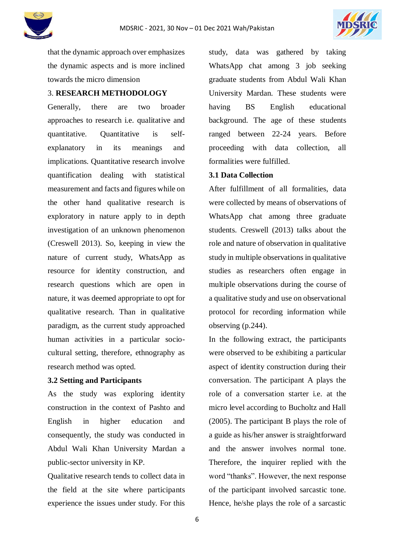



that the dynamic approach over emphasizes the dynamic aspects and is more inclined towards the micro dimension

# 3. **RESEARCH METHODOLOGY**

Generally, there are two broader approaches to research i.e. qualitative and quantitative. Quantitative is selfexplanatory in its meanings and implications. Quantitative research involve quantification dealing with statistical measurement and facts and figures while on the other hand qualitative research is exploratory in nature apply to in depth investigation of an unknown phenomenon (Creswell 2013). So, keeping in view the nature of current study, WhatsApp as resource for identity construction, and research questions which are open in nature, it was deemed appropriate to opt for qualitative research. Than in qualitative paradigm, as the current study approached human activities in a particular sociocultural setting, therefore, ethnography as research method was opted.

# **3.2 Setting and Participants**

As the study was exploring identity construction in the context of Pashto and English in higher education and consequently, the study was conducted in Abdul Wali Khan University Mardan a public-sector university in KP.

Qualitative research tends to collect data in the field at the site where participants experience the issues under study. For this

study, data was gathered by taking WhatsApp chat among 3 job seeking graduate students from Abdul Wali Khan University Mardan. These students were having BS English educational background. The age of these students ranged between 22-24 years. Before proceeding with data collection, all formalities were fulfilled.

# **3.1 Data Collection**

After fulfillment of all formalities, data were collected by means of observations of WhatsApp chat among three graduate students. Creswell (2013) talks about the role and nature of observation in qualitative study in multiple observations in qualitative studies as researchers often engage in multiple observations during the course of a qualitative study and use on observational protocol for recording information while observing (p.244).

In the following extract, the participants were observed to be exhibiting a particular aspect of identity construction during their conversation. The participant A plays the role of a conversation starter i.e. at the micro level according to Bucholtz and Hall (2005). The participant B plays the role of a guide as his/her answer is straightforward and the answer involves normal tone. Therefore, the inquirer replied with the word "thanks". However, the next response of the participant involved sarcastic tone. Hence, he/she plays the role of a sarcastic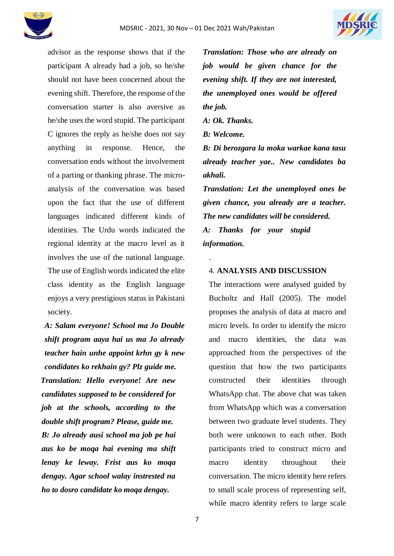



advisor as the response shows that if the participant A already had a job, so he/she should not have been concerned about the evening shift. Therefore, the response of the conversation starter is also aversive as he/she uses the word stupid. The participant C ignores the reply as he/she does not say anything in response. Hence, the conversation ends without the involvement of a parting or thanking phrase. The microanalysis of the conversation was based upon the fact that the use of different languages indicated different kinds of identities. The Urdu words indicated the regional identity at the macro level as it involves the use of the national language. The use of English words indicated the elite class identity as the English language enjoys a very prestigious status in Pakistani society.

*A: Salam everyone! School ma Jo Double shift program aaya hai us ma Jo already teacher hain unhe appoint krhn gy k new condidates ko rekhain gy? Plz guide me. Translation: Hello everyone! Are new candidates supposed to be considered for job at the schools, according to the double shift program? Please, guide me. B: Jo already ausi school ma job pe hai aus ko be moqa hai evening ma shift lenay ke leway. Frist aus ko moqa dengay. Agar school walay instrested na ho to dosro candidate ko moqa dengay.*

*Translation: Those who are already on job would be given chance for the evening shift. If they are not interested, the unemployed ones would be offered the job.*

*A: Ok. Thanks.*

*B: Welcome.*

.

*B: Di berozgara la moka warkae kana tasu already teacher yae.. New candidates ba akhali.*

*Translation: Let the unemployed ones be given chance, you already are a teacher. The new candidates will be considered. A: Thanks for your stupid information.*

# 4. **ANALYSIS AND DISCUSSION**

The interactions were analysed guided by Bucholtz and Hall (2005). The model proposes the analysis of data at macro and micro levels. In order to identify the micro and macro identities, the data was approached from the perspectives of the question that how the two participants constructed their identities through WhatsApp chat. The above chat was taken from WhatsApp which was a conversation between two graduate level students. They both were unknown to each other. Both participants tried to construct micro and macro identity throughout their conversation. The micro identity here refers to small scale process of representing self, while macro identity refers to large scale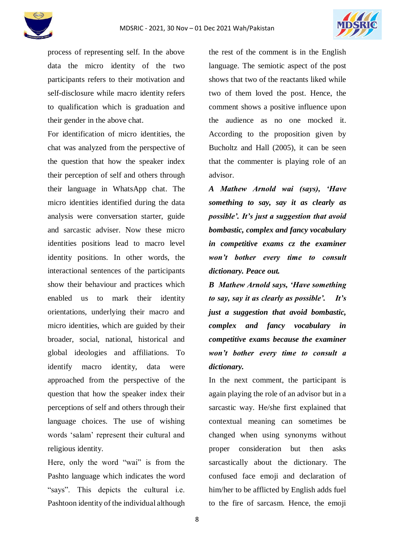

process of representing self. In the above data the micro identity of the two participants refers to their motivation and self-disclosure while macro identity refers to qualification which is graduation and their gender in the above chat.

For identification of micro identities, the chat was analyzed from the perspective of the question that how the speaker index their perception of self and others through their language in WhatsApp chat. The micro identities identified during the data analysis were conversation starter, guide and sarcastic adviser. Now these micro identities positions lead to macro level identity positions. In other words, the interactional sentences of the participants show their behaviour and practices which enabled us to mark their identity orientations, underlying their macro and micro identities, which are guided by their broader, social, national, historical and global ideologies and affiliations. To identify macro identity, data were approached from the perspective of the question that how the speaker index their perceptions of self and others through their language choices. The use of wishing words 'salam' represent their cultural and religious identity.

Here, only the word "wai" is from the Pashto language which indicates the word "says". This depicts the cultural i.e. Pashtoon identity of the individual although the rest of the comment is in the English language. The semiotic aspect of the post shows that two of the reactants liked while two of them loved the post. Hence, the comment shows a positive influence upon the audience as no one mocked it. According to the proposition given by Bucholtz and Hall (2005), it can be seen that the commenter is playing role of an advisor.

*A Mathew Arnold wai (says), 'Have something to say, say it as clearly as possible'. It's just a suggestion that avoid bombastic, complex and fancy vocabulary in competitive exams cz the examiner won't bother every time to consult dictionary. Peace out.* 

*B Mathew Arnold says, 'Have something to say, say it as clearly as possible'. It's just a suggestion that avoid bombastic, complex and fancy vocabulary in competitive exams because the examiner won't bother every time to consult a dictionary.*

In the next comment, the participant is again playing the role of an advisor but in a sarcastic way. He/she first explained that contextual meaning can sometimes be changed when using synonyms without proper consideration but then asks sarcastically about the dictionary. The confused face emoji and declaration of him/her to be afflicted by English adds fuel to the fire of sarcasm. Hence, the emoji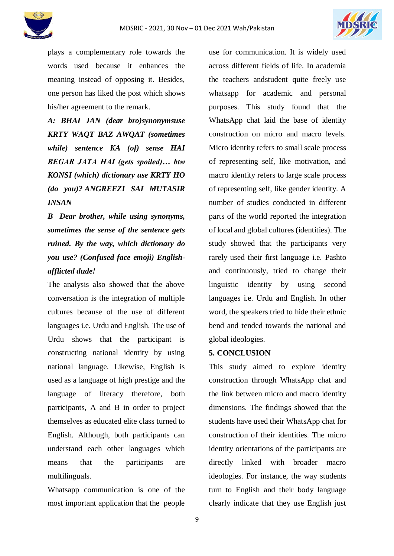



plays a complementary role towards the words used because it enhances the meaning instead of opposing it. Besides, one person has liked the post which shows his/her agreement to the remark.

*A: BHAI JAN (dear bro)synonymsuse KRTY WAQT BAZ AWQAT (sometimes while) sentence KA (of) sense HAI BEGAR JATA HAI (gets spoiled)… btw KONSI (which) dictionary use KRTY HO (do you)? ANGREEZI SAI MUTASIR INSAN*

*B Dear brother, while using synonyms, sometimes the sense of the sentence gets ruined. By the way, which dictionary do you use? (Confused face emoji) Englishafflicted dude!*

The analysis also showed that the above conversation is the integration of multiple cultures because of the use of different languages i.e. Urdu and English. The use of Urdu shows that the participant is constructing national identity by using national language. Likewise, English is used as a language of high prestige and the language of literacy therefore, both participants, A and B in order to project themselves as educated elite class turned to English. Although, both participants can understand each other languages which means that the participants are multilinguals.

Whatsapp communication is one of the most important application that the people use for communication. It is widely used across different fields of life. In academia the teachers andstudent quite freely use whatsapp for academic and personal purposes. This study found that the WhatsApp chat laid the base of identity construction on micro and macro levels. Micro identity refers to small scale process of representing self, like motivation, and macro identity refers to large scale process of representing self, like gender identity. A number of studies conducted in different parts of the world reported the integration of local and global cultures (identities). The study showed that the participants very rarely used their first language i.e. Pashto and continuously, tried to change their linguistic identity by using second languages i.e. Urdu and English. In other word, the speakers tried to hide their ethnic bend and tended towards the national and global ideologies.

# **5. CONCLUSION**

This study aimed to explore identity construction through WhatsApp chat and the link between micro and macro identity dimensions. The findings showed that the students have used their WhatsApp chat for construction of their identities. The micro identity orientations of the participants are directly linked with broader macro ideologies. For instance, the way students turn to English and their body language clearly indicate that they use English just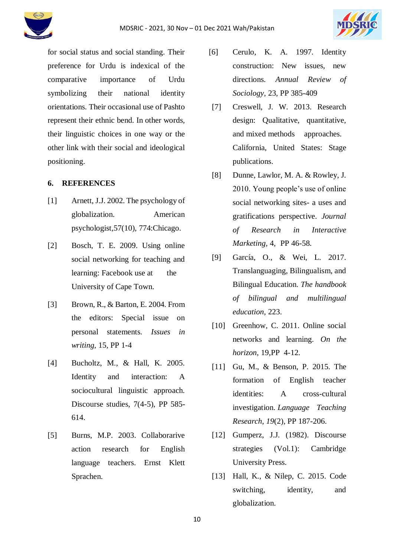

for social status and social standing. Their preference for Urdu is indexical of the comparative importance of Urdu symbolizing their national identity orientations. Their occasional use of Pashto represent their ethnic bend. In other words, their linguistic choices in one way or the other link with their social and ideological positioning.

# **6. REFERENCES**

- [1] Arnett, J.J. 2002. The psychology of globalization. American psychologist,57(10), 774:Chicago.
- [2] Bosch, T. E. 2009. Using online social networking for teaching and learning: Facebook use at the University of Cape Town.
- [3] Brown, R., & Barton, E. 2004. From the editors: Special issue on personal statements. *Issues in writing,* 15, PP 1-4
- [4] Bucholtz, M., & Hall, K. 2005. Identity and interaction: A sociocultural linguistic approach. Discourse studies, 7(4-5), PP 585- 614.
- [5] Burns, M.P. 2003. Collaborarive action research for English language teachers. Ernst Klett Sprachen.
- [6] Cerulo, K. A. 1997. Identity construction: New issues, new directions. *Annual Review of Sociology,* 23, PP 385-409
- [7] Creswell, J. W. 2013. Research design: Qualitative, quantitative, and mixed methods approaches. California, United States: Stage publications.
- [8] Dunne, Lawlor, M. A. & Rowley, J. 2010. Young people's use of online social networking sites- a uses and gratifications perspective. *Journal of Research in Interactive Marketing,* 4, PP 46-58.
- [9] García, O., & Wei, L. 2017. Translanguaging, Bilingualism, and Bilingual Education. *The handbook of bilingual and multilingual education*, 223.
- [10] Greenhow, C. 2011. Online social networks and learning. *On the horizon*, 19,PP 4-12.
- [11] Gu, M., & Benson, P. 2015. The formation of English teacher identities: A cross-cultural investigation. *Language Teaching Research*, *19*(2), PP 187-206.
- [12] Gumperz, J.J. (1982). Discourse strategies (Vol.1): Cambridge University Press.
- [13] Hall, K., & Nilep, C. 2015. Code switching, identity, and globalization.